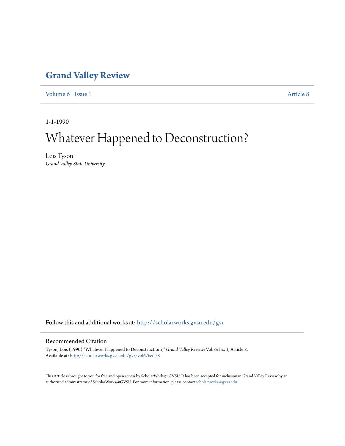### **[Grand Valley Review](http://scholarworks.gvsu.edu/gvr?utm_source=scholarworks.gvsu.edu%2Fgvr%2Fvol6%2Fiss1%2F8&utm_medium=PDF&utm_campaign=PDFCoverPages)**

[Volume 6](http://scholarworks.gvsu.edu/gvr/vol6?utm_source=scholarworks.gvsu.edu%2Fgvr%2Fvol6%2Fiss1%2F8&utm_medium=PDF&utm_campaign=PDFCoverPages) | [Issue 1](http://scholarworks.gvsu.edu/gvr/vol6/iss1?utm_source=scholarworks.gvsu.edu%2Fgvr%2Fvol6%2Fiss1%2F8&utm_medium=PDF&utm_campaign=PDFCoverPages) [Article 8](http://scholarworks.gvsu.edu/gvr/vol6/iss1/8?utm_source=scholarworks.gvsu.edu%2Fgvr%2Fvol6%2Fiss1%2F8&utm_medium=PDF&utm_campaign=PDFCoverPages)

1-1-1990

# Whatever Happened to Deconstruction?

Lois Tyson *Grand Valley State University*

Follow this and additional works at: [http://scholarworks.gvsu.edu/gvr](http://scholarworks.gvsu.edu/gvr?utm_source=scholarworks.gvsu.edu%2Fgvr%2Fvol6%2Fiss1%2F8&utm_medium=PDF&utm_campaign=PDFCoverPages)

#### Recommended Citation

Tyson, Lois (1990) "Whatever Happened to Deconstruction?," *Grand Valley Review*: Vol. 6: Iss. 1, Article 8. Available at: [http://scholarworks.gvsu.edu/gvr/vol6/iss1/8](http://scholarworks.gvsu.edu/gvr/vol6/iss1/8?utm_source=scholarworks.gvsu.edu%2Fgvr%2Fvol6%2Fiss1%2F8&utm_medium=PDF&utm_campaign=PDFCoverPages)

This Article is brought to you for free and open access by ScholarWorks@GVSU. It has been accepted for inclusion in Grand Valley Review by an authorized administrator of ScholarWorks@GVSU. For more information, please contact [scholarworks@gvsu.edu.](mailto:scholarworks@gvsu.edu)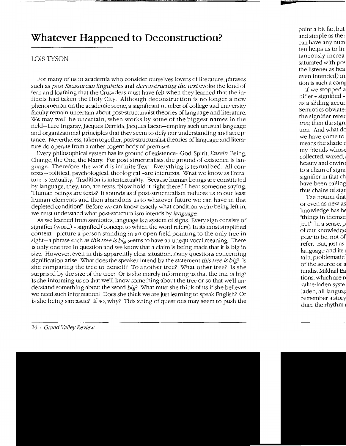## **Whatever Happened to Deconstruction?**

### LOIS TYSON

For many of us in academia who consider ourselves lovers of literature, phrases such as *post-Saussurean linguistics* and *deconstructing the text* evoke the kind of fear and loathing that the Crusaders must have felt when they learned that the infidels had taken the Holy City. Although deconstruction is no longer a new phenomenon on the academic scene, a significant number of college and university faculty remain uncertain about post-structuralist theories of language and literature. We may well be uncertain, when works by some of the biggest names in the field-Luce Irigaray, Jacques Derrida, Jacques Lacan-employ such unusual language and organizational principles that they seem to defy our understanding and acceptance. Nevertheless, taken together, post-structuralist theories of language and literature do operate from a rather cogent body of premises.

Every philosophical system has its ground of existence-God, Spirit, *Dasein,* Being, Change, the One, the Many. For post-structuralists, the ground of existence is language. Therefore, the world is infinite Text. Everything is textualized. All contexts-political, psychological, theological-are intertexts. What we know as literature is textuality. Tradition is intertextuality. Because human beings are constituted by language, they, too, are texts. "Now hold it right there," I hear someone saying. "Human beings are texts? It sounds as if post-structuralism reduces us to our least human elements and then abandons us to whatever future we can have in that depleted condition!" Before we can know exactly what condition we're being left in, we must understand what post-structuralism intends by *language.* 

As we learned from semiotics, language is a system of signs. Every sign consists of signifier (word) + signified (concept to which the word refers). In its most simplified context-picture a person standing in an open field pointing to the only tree in sight-a phrase such as *this tree is big* seems to have an unequivocal meaning. There is only one tree in question and we know that a claim is being made that it is big in size. However, even in this apparently clear situation, many questions concerning signification arise. \V'hat does the speaker intend by the statement *this tree is big?* Is she comparing the tree to herself? To another tree? What other tree? Is she surprised by the size of the tree? Or is she merely informing us that the tree is big? Is she informing us so that we'll know something about the tree or so that we'll understand something about the word *big?* \V'hat must she think of us if she believes we need such information? Does she think we are just learning to speak English? Or is she being sarcastic? If so, why? This string of questions may seem to push the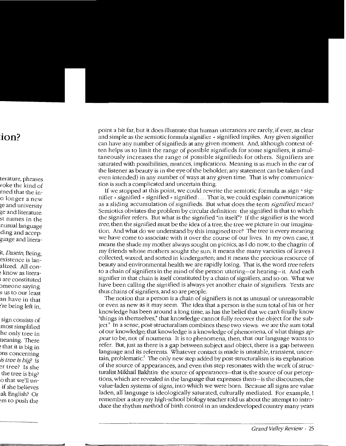point a bit far, but it does illustrate that human utterances are rarely, if ever, as clear and simple as the semiotic formula signifier  $+$  signified implies. Any given signifier can have any number of signifieds at any given moment. And, although context often helps us to limit the range of possible signifieds for some signifiers, it simultaneously increases the range of possible signifieds for others. Signifiers are saturated with possibilities, nuances, implications. Meaning is as much in the ear of the listener as beauty is in the eye of the beholder; any statement can be taken (and even intended) in any number of ways at any given time. That is why communication is such a complicated and uncertain thing.

If we stopped at this point, we could rewrite the semiotic formula as sign • signifier + signified + signified + signified .... That is, we could explain communication as a sliding accumulation of signifieds. But what does the term *signified* mean? Semiotics obviates the problem by circular definition: the signified is that to which the signifier refers. But what is the signified "in itself'? If the signifier is the word *tree,* then the signified must be the idea of a tree, the tree we picture in our imagination. And what do we understand by this imagined tree? The tree is every meaning we have come to associate with it over the course of our lives. In my own case, it means the shade my mother always sought on picnics, as I do now, to the chagrin of my friends whose mothers sought the sun; it means the many varieties of leaves I collected, waxed, and sorted in kindergarten; and it means the precious resource of beauty and environmental health we are rapidly losing. That is, the word *tree* refers to a chain of signifiers in the mind of the person uttering-or hearing-it. And each signifier in that chain is itself constituted by a chain of signifiers, and so on. What we have been calling the signified is always yet another chain of signifiers. Texts are thus chains of signifiers, and so are people.

The notion that a person is a chain of signifiers is not as unusual or unreasonable or even as new as it may seem. The idea that a person is the sum total of his or her knowledge has been around a long time, as has the belief that we can't finally know "things in themselves," that knowledge cannot fully recover the object for the subject.' In a sense, post-structuralism combines these two views: we are the sum total of our knowledge; that knowledge is a knowledge of phenomena, of what things *appear* to be, not of noumena. It is to phenomena, then, that our language wants to refer. But, just as there is a gap between subject and object, there is a gap between language and its referents. Whatever contact is made is unstable, transient, uncertain, problematic.<sup>2</sup> The only new step added by post-structuralism is its explanation of the source of appearances, and even this step resonates with the work of structuralist Mikhail Bakhtin: the source of appearances-that is, the source of our perceptions, which are revealed in the language that expresses them-is the discourses, the value-laden systems of signs, into which we were born. Because all signs are value laden, all language is ideologically saturated, culturally mediated. For example, I remember a story my high-school biology teacher told us about the attempt to introduce the rhythm method of birth control in an underdeveloped country many years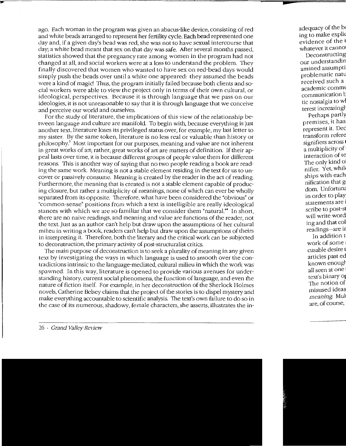ago. Each woman in the program was given an abacus-like device, consisting of red and white beads arranged to represent her fertility cycle. Each bead represented one day and, if a given day's bead was red, she was not to have sexual intercourse that day; a white bead meant that sex on that day was safe. After several months passed, statistics showed that the pregnancy rate among women in the program had not changed at all, and social workers were at a loss to understand the problem. They finally discovered that women who wanted to have sex on red-bead days would simply push the beads over until a white one appeared: they assumed the beads were a kind of magic! Thus, the program initially failed because both clients and social workers were able to view the project only in terms of their own cultural, or ideological, perspectives. Because it is through language that we pass on our ideologies, it is not unreasonable to say that it is through language that we conceive and perceive our world and ourselves.

For the study of literature, the implications of this view of the relationship between language and culture are manifold. To begin with, because everything is just another text, literature loses its privileged status over, for example, my last letter to my sister. By the same token, literature is no less real or valuable than history or  $philosophy$ <sup>3</sup>. Most important for our purposes, meaning and value are not inherent in great works of art; rather, great works of art are matters of definition. If their appeal lasts over time, it is because different groups of people value them for different reasons. This is another way of saying that no two people reading a book are reading the same work. Meaning is not a stable element residing in the text for us to uncover or passively consume. Meaning is created by the reader in the act of reading. Furthermore, the meaning that is created is not a stable element capable of producing closure, but rather a multiplicity of meanings, none of which can ever be wholly separated from its opposite. Therefore, what have been considered the "obvious" or "common-sense" positions from which a text is intelligible are really ideological stances with which we are so familiar that we consider them "natural."<sup>4</sup> In short, there are no naive readings, and meaning and value are functions of the reader, not the text. Just as an author can't help but draw upon the assumptions of her cultural milieu in writing a book, readers can't help but draw upon the assumptions of theirs in interpreting it. Therefore, both the literary and the critical work can be subjected to deconstruction, the primary activity of post-structuralist critics.

The main purpose of deconstruction is to seek a plurality of meaning in any given text by investigating the ways in which language is used to smooth over the contradictions intrinsic to the language-mediated, cultural milieu in which the work was spawned. In this way, literature is opened to provide various avenues for understanding history, current social phenomena, the function of language, and even the nature of fiction itself. For example, in her deconstruction of the Sherlock Holmes novels, Catherine Belsey claims that the project of the stories is to dispel mystery and make everything accountable to scientific analysis. The text's own failure to do so in the case of its numerous, shadowy, female characters, she asserts, illustrates the in-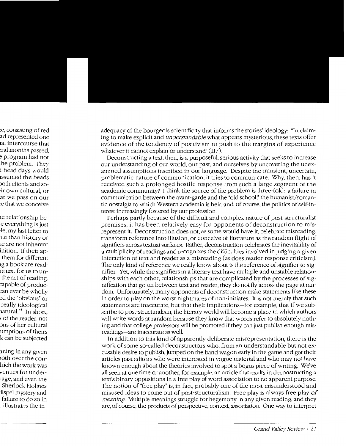adequacy of the bourgeois scientificity that informs the stories' ideology: "In claiming to make explicit and *understandable* what appears mysterious, these texts offer evidence of the tendency of positivism to push to the margins of experience whatever it cannot explain or understand" (117).

Deconstructing a text, then, is a purposeful, serious activity that seeks to increase our understanding of our world, our past, and ourselves by uncovering the unexamined assumptions inscribed in our language. Despite the transient, uncertain, problematic nature of communication, it tries to communicate. Why, then, has it received such a prolonged hostile response from such a large segment of the academic community? I think the source of the problem is three-fold: a failure in communication between the avant-garde and the "old school," the humanist/romantic nostalgia to which Western academia is heir, and, of course, the politics of self-interest increasingly fostered by our profession.

Perhaps partly because of the difficult and complex nature of post-structuralist premises, it has been relatively easy for opponents of deconstruction to misrepresent it. Deconstruction does not, as some would have it, celebrate misreading, transform reference into illusion, or conceive of literature as the random flight of signifiers across textual surfaces. Rather, deconstruction celebrates the inevitalility of a multiplicity of readings and recognizes the difficulties involved in judging a given interaction of text and reader as a misreading (as does reader-response criticism). The only kind of reference we really know about is the reference of signifier to signifier. Yet, while the signifiers in a literary text have multiple and unstable relationships with each other, relationships that are complicated by the processes of signification that go on between text and reader, they do not fly across the page at random. Unfortunately, many opponents of deconstruction make statements like these in order to play on the worst nightmares of non-initiates. It is not merely that such statements are inaccurate, but that their implications-for example, that if we subscribe to post-structuralism, the literary world will become a place in which authors will write words at random because they know that words refer to absolutely nothing and that college professors will be promoted if they can just publish enough misreadings-are inaccurate as well

In addition to this kind of apparently deliberate misrepresentation, there is the work of some so-called deconstructors who, from an understandable but not excusable desire to publish, jumped on the band wagon early in the game and got their articles past editors who were interested in vogue material and who may not have known enough about the theories involved to spot a bogus piece of writing. We've all seen at one time or another, for example, an article that exults in deconstructing a text's binary oppositions in a free play of word association to no apparent purpose. The notion of "free play" is, in fact, probably one of the most misunderstood and misused ideas to come out of post-structuralism. Free play is always free play of *meaning.* Multiple meanings struggle for hegemony in any given reading, and they are, of course, the products of perspective, context, association. One way to interpret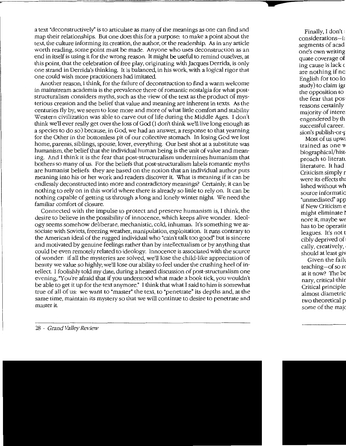a text "deconstructively" is to articulate as many of the meanings as one can find and map their relationships. But one does this for a purpose: to make a point about the text, the culture informing its creation, the author, or the readership. As in any article worth reading, some point must be made. Anyone who uses deconstruction as an end in itself is using it for the wrong reason. It might be useful to remind ouselves, at this point, that the celebration of free play, originating with Jacques Derrida, is only one strand in Derrida's thinking. It is balanced, in his work, with a logical rigor that one could wish more practitioners had imitated.

Another reason, I think, for the failure of deconstruction to find a warm welcome in mainstream academia is the prevalence there of romantic nostalgia for what poststructuralism considers myths, such as the view of the text as the product of mysterious creation and the belief that value and meaning are inherent in texts. As the centuries fly by, we seem to lose more and more of what little comfort and stability Western civilization was able to carve out of life during the Middle Ages. I don't think we'll ever really get over the loss of God (I don't think we'll live long enough as a species to do so) because, in God, we had an answer, a response to that yearning for the Other in the bottomless pit of our collective stomach. In losing God we lost home, parents, siblings, spouse, lover, everything. Our best shot at a substitute was humanism, the belief that the individual human being is the unit of value and meaning. And I think it is the fear that post-structuralism undermines humanism that bothers so many of us. For the beliefs that post-structuralism labels romantic myths are humanist beliefs: they are based on the notion that an individual author puts meaning into his or her work and readers discover it. What is meaning if it can be endlessly deconstructed into more and contradictory meanings? Certainly, it can be nothing to rely on in this world where there is already so little to rely on. It can be nothing capable of getting us through a long and lonely winter night. We need the familiar comfort of closure.

Connected with the impulse to protect and preserve humanism is, I think, the desire to believe in the possibility of innocence, which keeps alive wonder. Ideology seems somehow deliberate, mechanistic, cold, inhuman. It's something we associate with Soviets, freezing weather, manipulation, exploitation. It runs contrary to the American ideal of the rugged individual who "cain't talk too good" but is sincere and motivated by genuine feelings rather than by intellectualism or by anything that could be even remotely related to ideology. Innocence is associated with the source of wonder: if all the mysteries are solved, we'll lose the child-like appreciation of beauty we value so highly; we'll lose our ability to feel under the crushing heel of intellect. I foolishly told my date, during a heated discussion of post-structuralism one evening, "You're afraid that if you understood what made a book tick, you wouldn't be able to get it up for the text anymore." I think that what I said to him is somewhat true of all of us: we want to "master" the text, to "penetrate" its depths and, at the same time, maintain its mystery so that we will continue to desire to penetrate and master it.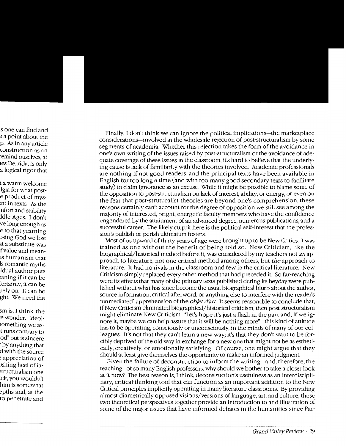Finally, I don't think we can ignore the political implications-the marketplace considerations-involved in the wholesale rejection of post-structuralism by some segments of academia. Whether this rejection takes the form of the avoidance in one's own writing of the issues raised by post-structuralism or the avoidance of adequate coverage of these issues in the classroom, it's hard to believe that the underlying cause is lack of familiarity with the theories involved. Academic professionals are nothing if not good readers, and the principal texts have been available in English for too long a time (and with too many good secondary texts to facilitate study) to claim ignorance as an excuse. While it might be possible to blame some of the opposition to post-structuralism on lack of interest, ability, or energy, or even on the fear that post-struturalist theories are beyond one's comprehension, these reasons certainly can't account for the degree of opposition we still see among the majority of interested, bright, energetic faculty members who have the confidence engendered by the attainment of an advanced degree, numerous publications, and a successful career. The likely culprit here is the political self-interest that the profession's publish-or-perish ultimatum fosters.

Most of us upward of thirty years of age were brought up to be New Critics. I was trained as one without the benefit of being told so. New Criticism, like the biographical/historical method before it, was considered by my teachers not *an* approach to literature, not one critical method among others, but *the* approach to literature. It had no rivals in the classroom and few in the critical literature. New Criticism simply replaced every other method that had preceded it. So far-reaching were its effects that many of the primary texts published during its heyday were published without what has since become the usual biographical blurb about the author, source information, critical afterword, or anything else to interfere with the reader's "unmediated" apprehension of the *objet d'art* It seems reasonable to conclude that, if New Criticism eliminated biographical/historical criticism, then post-structuralism might eliminate New Criticism. "Let's hope it's just a flash in the pan, and, if we ignore it, maybe we can help assure that it will be nothing more" -this kind of attitude has to be operating, consciously or unconsciously, in the minds of many of our colleagues. It's not that they can't learn a new way; it's that they don't want to be forcibly deprived of the old way in exchange for a new one that might not be as esthetically, creatively, or emotionally satisfying. Of course, one might argue that they should at least give themselves the opportunity to make an informed judgment.

Given the failure of deconstruction to inform the writing-and, therefore, the teaching-of so many English professors, why should we bother to take a closer look at it now? The best reason is, I think, deconstruction's usefulness as an interdisciplinary, critical-thinking tool that can function as an important addition to the New Critical principles implicitly operating in many literature classrooms. By providing almost diametrically opposed visions/versions of language, art, and culture, these two theoretical perspectives together provide an introduction to and illustration of some of the major issues that have informed debates in the humanities since Par-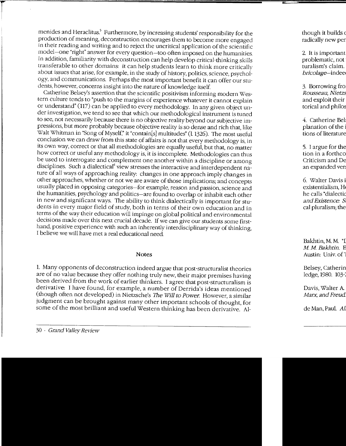menides and Heraclitus.<sup>5</sup> Furthermore, by increasing students' responsibility for the production of meaning, deconstruction encourages them to become more engaged in their reading and writing and to reject the uncritical application of the scientific model-one "right" answer for every question-too often imposed on the humanities. In addition, familiarity with deconstruction can help develop critical-thinking skills transferable to other domains: it can help students learn to think more critically about issues that arise, for example, in the study of history, politics, science, psychology, and communications. Perhaps the most important benefit it can offer our students, however, concerns insight into the nature of knowledge itself.

Catherine Belsey's assertion that the scientific positivism informing modern Western culture tends to "push to the margins of experience whatever it cannot explain or understand" (117) can be applied to every methodology. In any given object under investigation, we tend to see that which our methodological instrument is tuned to see, not necessarily because there is no objective reality beyond our subjective impressions, but more probably because objective reality is so dense and rich that, like Walt Whitman in "Song of Myself," it "contain[s] multitudes" (1 1326). The most useful conclusion we can draw from this state of affairs is not that every methodology is, in its own way, correct or that all methodologies are equally useful, but that, no matter how correct or useful any methodology is, it is incomplete. Methodologies can thus be used to interrogate and complement one another within a discipline or among disciplines. Such a dialectical<sup>6</sup> view stresses the interactive and interdependent nature of all ways of approaching reality: changes in one approach imply changes in other approaches, whether or not we are aware of those implications; and concepts usually placed in opposing categories-for example, reason and passion, science and the humanities, psychology and politics-are found to overlap or inhabit each other in new and significant ways. The ability to think dialectically is important for students in every major field of study, both in terms of their own education and in terms of the way their education will impinge on global political and environmental decisions made over this next crucial decade. If we can give our students some firsthand, positive experience with such an inherently interdisciplinary way of thinking, I believe we will have met a real educational need

#### Notes

1. Many opponents of deconstruction indeed argue that post-structuralist theories are of no value because they offer nothing truly new, their major premises having been derived from the work of earlier thinkers. I agree that post-structuralism is derivative: I have found, for example, a number of Derrida's ideas mentioned (though often not developed) in Nietzsche's The *\Viii to Power.* However, a similar judgment can be brought against many other important schools of thought, for some of the most brilliant and useful Western thinking has been derivative. AI-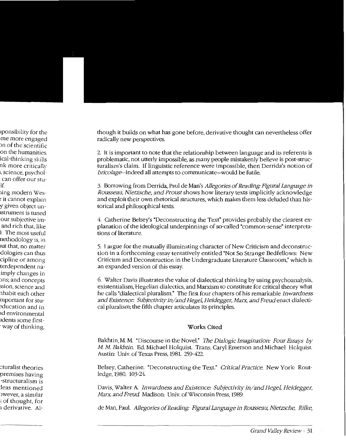though it builds on what has gone before, derivative thought can nevertheless offer radically new perspectives.

2. It is important to note that the relationship between language and its referents is problematic, not utterly impossible, as many people mistakenly believe is post-structuralism's claim. If linguistic reference were impossible, then Derrida's notion of *bricolage*—indeed all attempts to communicate—would be futile.

3. Borrowing from Derrida, Paul de Man's Allegories of Reading: Figural Language in *Rousseau, Nietzsche, and Proust shows how literary texts implicitly acknowledge* and exploit their own rhetorical structures, which makes them less deluded than historical and philosophical texts.

4. Catherine Belsey's "Deconstructing the Text" provides probably the clearest explanation of the ideological underpinnings of so-called "common-sense" interpretations of literature.

5. I argue for the mutually illuminating character of New Criticism and deconstruction in a forthcoming essay tentatively entitled "Not So Strange Bedfellows: New Criticism and Deconstruction in the Undergraduate Literature Classroom," which is an expanded version of this essay.

6. Walter Davis illustrates the value of dialectical thinking by using psychoanalysis, existentialism, Hegelian dialectics, and Marxism to constitute for critical theory what he calls "dialectical pluralism." The first four chapters of his remarkable Inwardness and Existence: Subjectivity in/and Hegel, Heidegger, Marx, and Freud enact dialectical pluralism; the fifth chapter articulates its principles.

### Works Cited

Bakhtin, M. M. "Discourse in the Novel." The Dialogic Imagination: Four Essays by M. M. Bakhtin. Ed. Michael Holquist. Trans. Caryl Emerson and Michael Holquist. Austin: Univ. of Texas Press, 1981. 259-422.

Belsey, Catherine. "Deconstructing the Text." Critical Practice. New York: Routledge, 1980. 103-24.

Davis, Walter A. Inwardness and Existence: Subjectivity in/and Hegel, Heidegger, Marx, and Freud Madison: Univ. of Wisconsin Press, 1989.

de Man, Paul. Allegories of Reading: Figural Language in Rousseau, Nietzsche, Rilke,